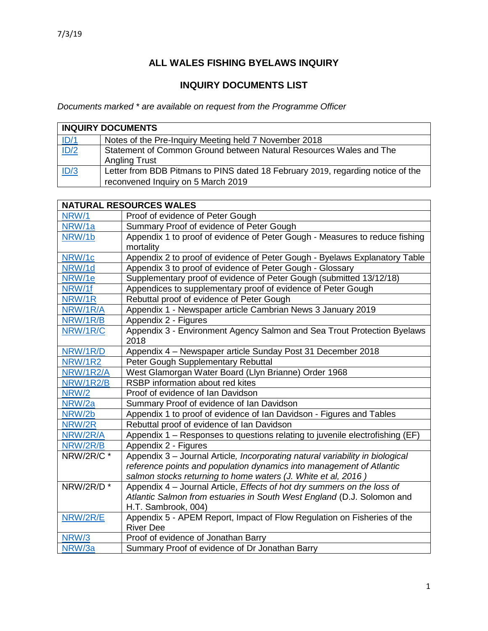## **ALL WALES FISHING BYELAWS INQUIRY**

## **INQUIRY DOCUMENTS LIST**

*Documents marked \* are available on request from the Programme Officer*

| <b>INQUIRY DOCUMENTS</b> |                                                                                                                       |
|--------------------------|-----------------------------------------------------------------------------------------------------------------------|
| ID/1                     | Notes of the Pre-Inquiry Meeting held 7 November 2018                                                                 |
| ID/2                     | Statement of Common Ground between Natural Resources Wales and The<br><b>Angling Trust</b>                            |
| ID/3                     | Letter from BDB Pitmans to PINS dated 18 February 2019, regarding notice of the<br>reconvened Inquiry on 5 March 2019 |

| <b>NATURAL RESOURCES WALES</b> |                                                                               |
|--------------------------------|-------------------------------------------------------------------------------|
| NRW/1                          | Proof of evidence of Peter Gough                                              |
| NRW/1a                         | Summary Proof of evidence of Peter Gough                                      |
| NRW/1b                         | Appendix 1 to proof of evidence of Peter Gough - Measures to reduce fishing   |
|                                | mortality                                                                     |
| NRW/1c                         | Appendix 2 to proof of evidence of Peter Gough - Byelaws Explanatory Table    |
| NRW/1d                         | Appendix 3 to proof of evidence of Peter Gough - Glossary                     |
| NRW/1e                         | Supplementary proof of evidence of Peter Gough (submitted 13/12/18)           |
| NRW/1f                         | Appendices to supplementary proof of evidence of Peter Gough                  |
| NRW/1R                         | Rebuttal proof of evidence of Peter Gough                                     |
| NRW/1R/A                       | Appendix 1 - Newspaper article Cambrian News 3 January 2019                   |
| NRW/1R/B                       | Appendix 2 - Figures                                                          |
| NRW/1R/C                       | Appendix 3 - Environment Agency Salmon and Sea Trout Protection Byelaws       |
|                                | 2018                                                                          |
| NRW/1R/D                       | Appendix 4 - Newspaper article Sunday Post 31 December 2018                   |
| <b>NRW/1R2</b>                 | Peter Gough Supplementary Rebuttal                                            |
| NRW/1R2/A                      | West Glamorgan Water Board (Llyn Brianne) Order 1968                          |
| NRW/1R2/B                      | RSBP information about red kites                                              |
| NRW/2                          | Proof of evidence of Ian Davidson                                             |
| NRW/2a                         | Summary Proof of evidence of Ian Davidson                                     |
| NRW/2b                         | Appendix 1 to proof of evidence of Ian Davidson - Figures and Tables          |
| NRW/2R                         | Rebuttal proof of evidence of Ian Davidson                                    |
| NRW/2R/A                       | Appendix 1 - Responses to questions relating to juvenile electrofishing (EF)  |
| NRW/2R/B                       | Appendix 2 - Figures                                                          |
| NRW/2R/C *                     | Appendix 3 - Journal Article, Incorporating natural variability in biological |
|                                | reference points and population dynamics into management of Atlantic          |
|                                | salmon stocks returning to home waters (J. White et al, 2016)                 |
| NRW/2R/D <sup>*</sup>          | Appendix 4 - Journal Article, Effects of hot dry summers on the loss of       |
|                                | Atlantic Salmon from estuaries in South West England (D.J. Solomon and        |
|                                | H.T. Sambrook, 004)                                                           |
| NRW/2R/E                       | Appendix 5 - APEM Report, Impact of Flow Regulation on Fisheries of the       |
|                                | <b>River Dee</b>                                                              |
| <b>NRW/3</b>                   | Proof of evidence of Jonathan Barry                                           |
| NRW/3a                         | Summary Proof of evidence of Dr Jonathan Barry                                |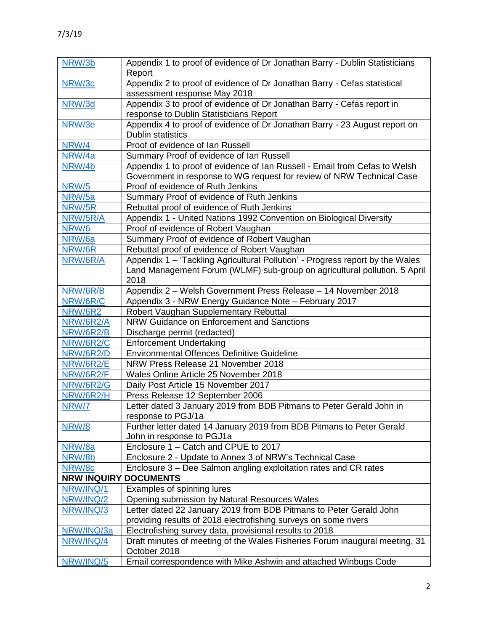| NRW/3b           | Appendix 1 to proof of evidence of Dr Jonathan Barry - Dublin Statisticians<br>Report       |
|------------------|---------------------------------------------------------------------------------------------|
| NRW/3c           | Appendix 2 to proof of evidence of Dr Jonathan Barry - Cefas statistical                    |
|                  | assessment response May 2018                                                                |
| NRW/3d           | Appendix 3 to proof of evidence of Dr Jonathan Barry - Cefas report in                      |
|                  | response to Dublin Statisticians Report                                                     |
| NRW/3e           | Appendix 4 to proof of evidence of Dr Jonathan Barry - 23 August report on                  |
|                  | <b>Dublin statistics</b>                                                                    |
| NRW/4            | Proof of evidence of Ian Russell                                                            |
| NRW/4a           | Summary Proof of evidence of Ian Russell                                                    |
| NRW/4b           | Appendix 1 to proof of evidence of Ian Russell - Email from Cefas to Welsh                  |
|                  | Government in response to WG request for review of NRW Technical Case                       |
| <b>NRW/5</b>     | Proof of evidence of Ruth Jenkins                                                           |
| NRW/5a           | Summary Proof of evidence of Ruth Jenkins                                                   |
| NRW/5R           | Rebuttal proof of evidence of Ruth Jenkins                                                  |
| NRW/5R/A         | Appendix 1 - United Nations 1992 Convention on Biological Diversity                         |
| NRW/6            | Proof of evidence of Robert Vaughan                                                         |
| NRW/6a           | Summary Proof of evidence of Robert Vaughan                                                 |
| NRW/6R           | Rebuttal proof of evidence of Robert Vaughan                                                |
| NRW/6R/A         | Appendix 1 - 'Tackling Agricultural Pollution' - Progress report by the Wales               |
|                  | Land Management Forum (WLMF) sub-group on agricultural pollution. 5 April                   |
|                  | 2018                                                                                        |
| NRW/6R/B         | Appendix 2 - Welsh Government Press Release - 14 November 2018                              |
| NRW/6R/C         | Appendix 3 - NRW Energy Guidance Note - February 2017                                       |
| <b>NRW/6R2</b>   | Robert Vaughan Supplementary Rebuttal                                                       |
| NRW/6R2/A        | NRW Guidance on Enforcement and Sanctions                                                   |
| NRW/6R2/B        | Discharge permit (redacted)                                                                 |
| NRW/6R2/C        | <b>Enforcement Undertaking</b>                                                              |
| NRW/6R2/D        | <b>Environmental Offences Definitive Guideline</b>                                          |
| NRW/6R2/E        | NRW Press Release 21 November 2018                                                          |
| NRW/6R2/F        | Wales Online Article 25 November 2018                                                       |
| <b>NRW/6R2/G</b> | Daily Post Article 15 November 2017                                                         |
| NRW/6R2/H        | Press Release 12 September 2006                                                             |
| NRW/7            | Letter dated 3 January 2019 from BDB Pitmans to Peter Gerald John in                        |
|                  | response to PGJ/1a                                                                          |
| NRW/8            | Further letter dated 14 January 2019 from BDB Pitmans to Peter Gerald                       |
|                  | John in response to PGJ1a                                                                   |
| NRW/8a           | Enclosure 1 - Catch and CPUE to 2017                                                        |
| NRW/8b           | Enclosure 2 - Update to Annex 3 of NRW's Technical Case                                     |
| NRW/8c           | Enclosure 3 – Dee Salmon angling exploitation rates and CR rates                            |
|                  | <b>NRW INQUIRY DOCUMENTS</b>                                                                |
| NRW/INQ/1        | Examples of spinning lures                                                                  |
| NRW/INQ/2        | Opening submission by Natural Resources Wales                                               |
| NRW/INQ/3        | Letter dated 22 January 2019 from BDB Pitmans to Peter Gerald John                          |
|                  | providing results of 2018 electrofishing surveys on some rivers                             |
| NRW/INQ/3a       | Electrofishing survey data, provisional results to 2018                                     |
| NRW/INQ/4        | Draft minutes of meeting of the Wales Fisheries Forum inaugural meeting, 31<br>October 2018 |
| NRW/INQ/5        | Email correspondence with Mike Ashwin and attached Winbugs Code                             |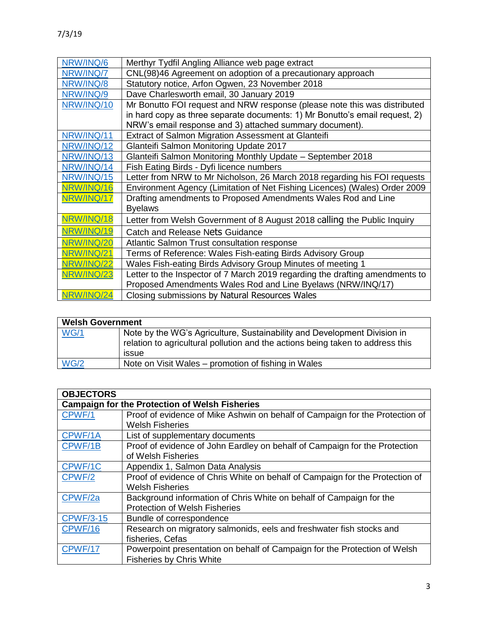| NRW/INQ/6 | Merthyr Tydfil Angling Alliance web page extract |
|-----------|--------------------------------------------------|
| NRW/INQ/7 | CNL(98)46 Agreement on adoption of a precaution  |
| NRW/INQ/8 | Statutory notice, Arfon Ogwen, 23 November 201   |
|           |                                                  |

| NRW/INQ/7  | CNL(98)46 Agreement on adoption of a precautionary approach                  |
|------------|------------------------------------------------------------------------------|
| NRW/INQ/8  | Statutory notice, Arfon Ogwen, 23 November 2018                              |
| NRW/INQ/9  | Dave Charlesworth email, 30 January 2019                                     |
| NRW/INQ/10 | Mr Bonutto FOI request and NRW response (please note this was distributed    |
|            | in hard copy as three separate documents: 1) Mr Bonutto's email request, 2)  |
|            | NRW's email response and 3) attached summary document).                      |
| NRW/INQ/11 | Extract of Salmon Migration Assessment at Glanteifi                          |
| NRW/INQ/12 | Glanteifi Salmon Monitoring Update 2017                                      |
| NRW/INQ/13 | Glanteifi Salmon Monitoring Monthly Update - September 2018                  |
| NRW/INQ/14 | Fish Eating Birds - Dyfi licence numbers                                     |
| NRW/INQ/15 | Letter from NRW to Mr Nicholson, 26 March 2018 regarding his FOI requests    |
| NRW/INQ/16 | Environment Agency (Limitation of Net Fishing Licences) (Wales) Order 2009   |
| NRW/INQ/17 | Drafting amendments to Proposed Amendments Wales Rod and Line                |
|            | <b>Byelaws</b>                                                               |
| NRW/INQ/18 | Letter from Welsh Government of 8 August 2018 calling the Public Inquiry     |
| NRW/INQ/19 | Catch and Release Nets Guidance                                              |
| NRW/INQ/20 | Atlantic Salmon Trust consultation response                                  |
| NRW/INQ/21 | Terms of Reference: Wales Fish-eating Birds Advisory Group                   |
| NRW/INQ/22 | Wales Fish-eating Birds Advisory Group Minutes of meeting 1                  |
| NRW/INQ/23 | Letter to the Inspector of 7 March 2019 regarding the drafting amendments to |
|            | Proposed Amendments Wales Rod and Line Byelaws (NRW/INQ/17)                  |
| NRW/INQ/24 | Closing submissions by Natural Resources Wales                               |

| <b>Welsh Government</b> |                                                                                                                                                                     |
|-------------------------|---------------------------------------------------------------------------------------------------------------------------------------------------------------------|
| WG/1                    | Note by the WG's Agriculture, Sustainability and Development Division in<br>relation to agricultural pollution and the actions being taken to address this<br>issue |
| WG/2                    | Note on Visit Wales – promotion of fishing in Wales                                                                                                                 |

| <b>OBJECTORS</b>                                      |                                                                              |  |
|-------------------------------------------------------|------------------------------------------------------------------------------|--|
| <b>Campaign for the Protection of Welsh Fisheries</b> |                                                                              |  |
| CPWF/1                                                | Proof of evidence of Mike Ashwin on behalf of Campaign for the Protection of |  |
|                                                       | <b>Welsh Fisheries</b>                                                       |  |
| CPWF/1A                                               | List of supplementary documents                                              |  |
| CPWF/1B                                               | Proof of evidence of John Eardley on behalf of Campaign for the Protection   |  |
|                                                       | of Welsh Fisheries                                                           |  |
| CPWF/1C                                               | Appendix 1, Salmon Data Analysis                                             |  |
| CPWF/2                                                | Proof of evidence of Chris White on behalf of Campaign for the Protection of |  |
|                                                       | <b>Welsh Fisheries</b>                                                       |  |
| CPWF/2a                                               | Background information of Chris White on behalf of Campaign for the          |  |
|                                                       | <b>Protection of Welsh Fisheries</b>                                         |  |
| <b>CPWF/3-15</b>                                      | Bundle of correspondence                                                     |  |
| CPWF/16                                               | Research on migratory salmonids, eels and freshwater fish stocks and         |  |
|                                                       | fisheries, Cefas                                                             |  |
| CPWF/17                                               | Powerpoint presentation on behalf of Campaign for the Protection of Welsh    |  |
|                                                       | <b>Fisheries by Chris White</b>                                              |  |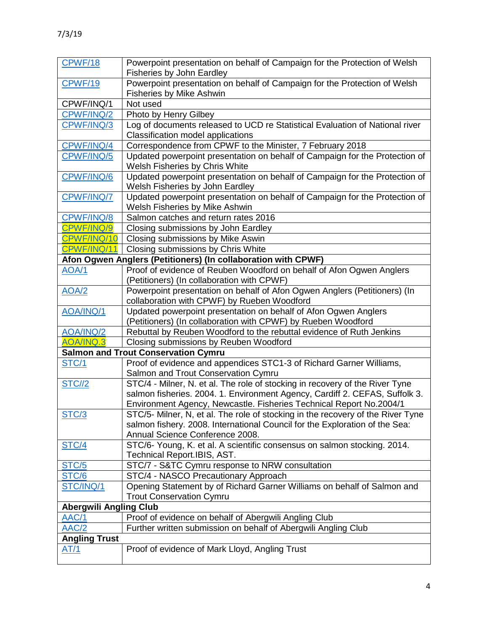| CPWF/18                       | Powerpoint presentation on behalf of Campaign for the Protection of Welsh<br><b>Fisheries by John Eardley</b>                    |
|-------------------------------|----------------------------------------------------------------------------------------------------------------------------------|
| <b>CPWF/19</b>                | Powerpoint presentation on behalf of Campaign for the Protection of Welsh<br><b>Fisheries by Mike Ashwin</b>                     |
| CPWF/INQ/1                    | Not used                                                                                                                         |
| CPWF/INQ/2                    | Photo by Henry Gilbey                                                                                                            |
| CPWF/INQ/3                    | Log of documents released to UCD re Statistical Evaluation of National river                                                     |
|                               | Classification model applications                                                                                                |
| CPWF/INQ/4                    | Correspondence from CPWF to the Minister, 7 February 2018                                                                        |
| CPWF/INQ/5                    | Updated powerpoint presentation on behalf of Campaign for the Protection of<br>Welsh Fisheries by Chris White                    |
| CPWF/INQ/6                    | Updated powerpoint presentation on behalf of Campaign for the Protection of                                                      |
|                               | Welsh Fisheries by John Eardley                                                                                                  |
| CPWF/INQ/7                    | Updated powerpoint presentation on behalf of Campaign for the Protection of<br>Welsh Fisheries by Mike Ashwin                    |
| CPWF/INQ/8                    | Salmon catches and return rates 2016                                                                                             |
| CPWF/INQ/9                    | Closing submissions by John Eardley                                                                                              |
| CPWF/INQ/10                   | Closing submissions by Mike Aswin                                                                                                |
| CPWF/INQ/11                   | Closing submissions by Chris White                                                                                               |
|                               | Afon Ogwen Anglers (Petitioners) (In collaboration with CPWF)                                                                    |
| <b>AOA/1</b>                  | Proof of evidence of Reuben Woodford on behalf of Afon Ogwen Anglers<br>(Petitioners) (In collaboration with CPWF)               |
| <b>AOA/2</b>                  | Powerpoint presentation on behalf of Afon Ogwen Anglers (Petitioners) (In<br>collaboration with CPWF) by Rueben Woodford         |
| AOA/INQ/1                     | Updated powerpoint presentation on behalf of Afon Ogwen Anglers<br>(Petitioners) (In collaboration with CPWF) by Rueben Woodford |
| AOA/INQ/2                     | Rebuttal by Reuben Woodford to the rebuttal evidence of Ruth Jenkins                                                             |
| <b>AOA/INQ.3</b>              | Closing submissions by Reuben Woodford                                                                                           |
|                               | <b>Salmon and Trout Conservation Cymru</b>                                                                                       |
| STC/1                         | Proof of evidence and appendices STC1-3 of Richard Garner Williams,                                                              |
|                               | Salmon and Trout Conservation Cymru                                                                                              |
| <b>STC//2</b>                 | STC/4 - Milner, N. et al. The role of stocking in recovery of the River Tyne                                                     |
|                               | salmon fisheries. 2004. 1. Environment Agency, Cardiff 2. CEFAS, Suffolk 3.                                                      |
|                               | Environment Agency, Newcastle. Fisheries Technical Report No.2004/1                                                              |
| STC/3                         | STC/5- Milner, N, et al. The role of stocking in the recovery of the River Tyne                                                  |
|                               | salmon fishery. 2008. International Council for the Exploration of the Sea:                                                      |
|                               | Annual Science Conference 2008.                                                                                                  |
| <b>STC/4</b>                  | STC/6- Young, K. et al. A scientific consensus on salmon stocking. 2014.<br>Technical Report.IBIS, AST.                          |
| STC/5                         | STC/7 - S&TC Cymru response to NRW consultation                                                                                  |
| STC/6                         | STC/4 - NASCO Precautionary Approach                                                                                             |
| STC/INQ/1                     | Opening Statement by of Richard Garner Williams on behalf of Salmon and<br><b>Trout Conservation Cymru</b>                       |
| <b>Abergwili Angling Club</b> |                                                                                                                                  |
| AAC/1                         | Proof of evidence on behalf of Abergwili Angling Club                                                                            |
| AAC/2                         | Further written submission on behalf of Abergwili Angling Club                                                                   |
| <b>Angling Trust</b>          |                                                                                                                                  |
| AT/1                          | Proof of evidence of Mark Lloyd, Angling Trust                                                                                   |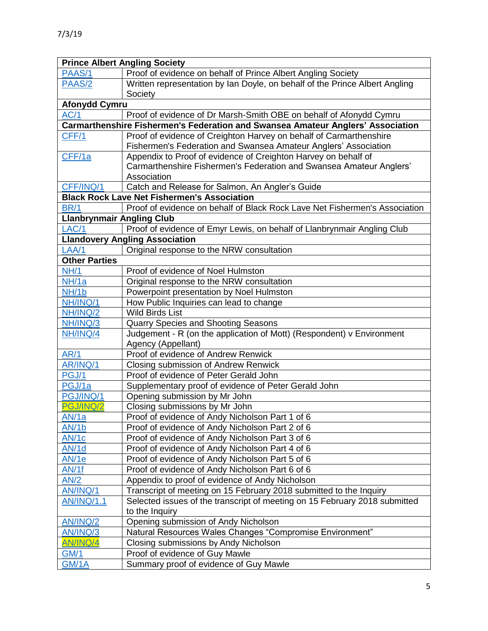| <b>Prince Albert Angling Society</b> |                                                                                 |  |
|--------------------------------------|---------------------------------------------------------------------------------|--|
| PAAS/1                               | Proof of evidence on behalf of Prince Albert Angling Society                    |  |
| PAAS/2                               | Written representation by Ian Doyle, on behalf of the Prince Albert Angling     |  |
|                                      | Society                                                                         |  |
| <b>Afonydd Cymru</b>                 |                                                                                 |  |
| AC/1                                 | Proof of evidence of Dr Marsh-Smith OBE on behalf of Afonydd Cymru              |  |
|                                      | Carmarthenshire Fishermen's Federation and Swansea Amateur Anglers' Association |  |
| CFF/1                                | Proof of evidence of Creighton Harvey on behalf of Carmarthenshire              |  |
|                                      | Fishermen's Federation and Swansea Amateur Anglers' Association                 |  |
| CFF/1a                               | Appendix to Proof of evidence of Creighton Harvey on behalf of                  |  |
|                                      | Carmarthenshire Fishermen's Federation and Swansea Amateur Anglers'             |  |
|                                      | Association                                                                     |  |
| CFF/INQ/1                            | Catch and Release for Salmon, An Angler's Guide                                 |  |
|                                      | <b>Black Rock Lave Net Fishermen's Association</b>                              |  |
| <b>BR/1</b>                          | Proof of evidence on behalf of Black Rock Lave Net Fishermen's Association      |  |
| <b>Llanbrynmair Angling Club</b>     |                                                                                 |  |
| LAC/1                                | Proof of evidence of Emyr Lewis, on behalf of Llanbrynmair Angling Club         |  |
|                                      | <b>Llandovery Angling Association</b>                                           |  |
| LAA/1                                | Original response to the NRW consultation                                       |  |
| <b>Other Parties</b>                 |                                                                                 |  |
| NH/1                                 | Proof of evidence of Noel Hulmston                                              |  |
| NH/1a                                | Original response to the NRW consultation                                       |  |
| NH/1b                                | Powerpoint presentation by Noel Hulmston                                        |  |
| NH/INQ/1                             | How Public Inquiries can lead to change                                         |  |
| NH/INQ/2                             | <b>Wild Birds List</b>                                                          |  |
| NH/INQ/3                             | Quarry Species and Shooting Seasons                                             |  |
| NH/INQ/4                             | Judgement - R (on the application of Mott) (Respondent) v Environment           |  |
|                                      | Agency (Appellant)                                                              |  |
| AR/1                                 | Proof of evidence of Andrew Renwick                                             |  |
| AR/INQ/1                             | Closing submission of Andrew Renwick                                            |  |
| PGJ/1                                | Proof of evidence of Peter Gerald John                                          |  |
| PGJ/1a                               | Supplementary proof of evidence of Peter Gerald John                            |  |
| PGJ/INQ/1                            | Opening submission by Mr John                                                   |  |
| PGJ/INQ/2                            | Closing submissions by Mr John                                                  |  |
| AN/1a                                | Proof of evidence of Andy Nicholson Part 1 of 6                                 |  |
| <b>AN/1b</b>                         | Proof of evidence of Andy Nicholson Part 2 of 6                                 |  |
| AN/1c                                | Proof of evidence of Andy Nicholson Part 3 of 6                                 |  |
| AN/1d                                | Proof of evidence of Andy Nicholson Part 4 of 6                                 |  |
| <b>AN/1e</b>                         | Proof of evidence of Andy Nicholson Part 5 of 6                                 |  |
| AN/1f                                | Proof of evidence of Andy Nicholson Part 6 of 6                                 |  |
| AN/2                                 | Appendix to proof of evidence of Andy Nicholson                                 |  |
| AN/INQ/1                             | Transcript of meeting on 15 February 2018 submitted to the Inquiry              |  |
| <b>AN/INQ/1.1</b>                    | Selected issues of the transcript of meeting on 15 February 2018 submitted      |  |
|                                      | to the Inquiry                                                                  |  |
| AN/INQ/2                             | Opening submission of Andy Nicholson                                            |  |
| AN/INQ/3                             | Natural Resources Wales Changes "Compromise Environment"                        |  |
| <b>AN/INQ/4</b>                      | Closing submissions by Andy Nicholson                                           |  |
| <b>GM/1</b>                          | Proof of evidence of Guy Mawle                                                  |  |
| <b>GM/1A</b>                         | Summary proof of evidence of Guy Mawle                                          |  |